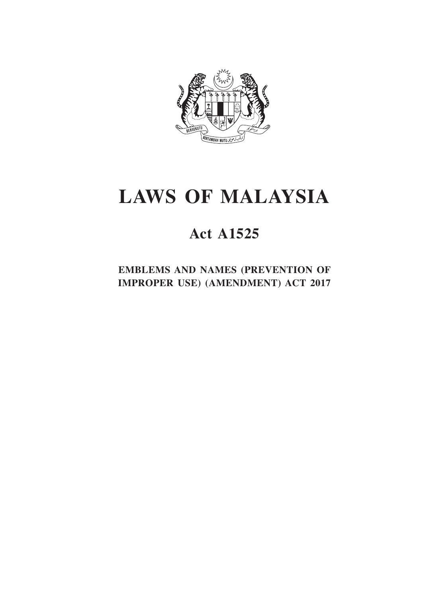

# **LAWS OF MALAYSIA**

# **Act A1525**

**EMBLEMS AND NAMES (PREVENTION OF IMPROPER USE) (AMENDMENT) ACT 2017**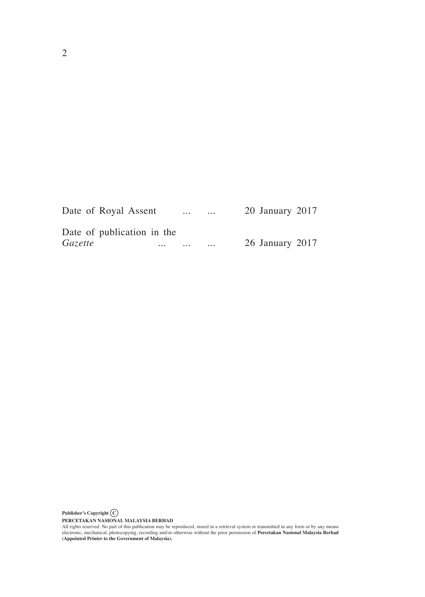|                | Date of Royal Assent       |          | $\cdots$ | $\cdots$ | 20 January 2017 |  |
|----------------|----------------------------|----------|----------|----------|-----------------|--|
|                | Date of publication in the |          |          |          |                 |  |
| <i>Gazette</i> |                            | $\cdots$ | $\cdots$ | $\cdots$ | 26 January 2017 |  |

**Publisher's Copyright C**

**PERCETAKAN NASIONAL MALAYSIA BERHAD**<br>All rights reserved. No part of this publication may be reproduced, stored in a retrieval system or transmitted in any form or by any means<br>electronic, mechanical, photocopying, record